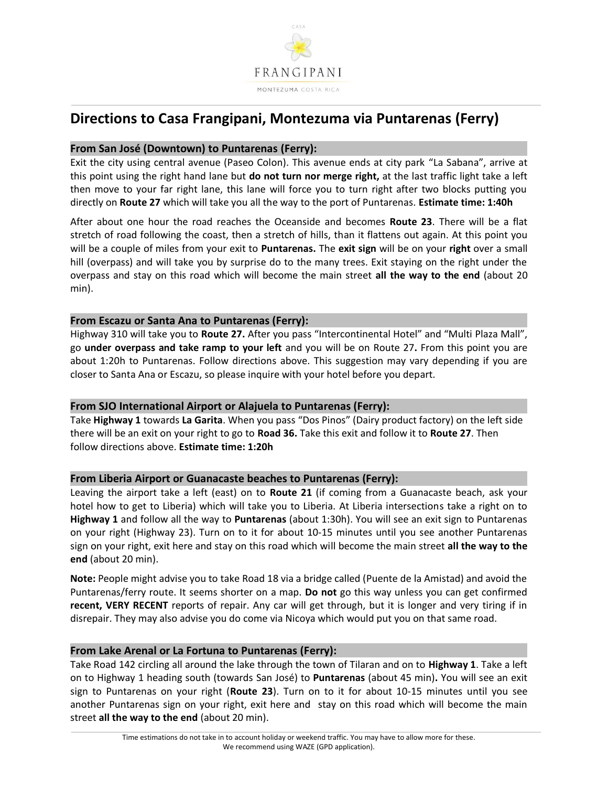

# **Directions to Casa Frangipani, Montezuma via Puntarenas (Ferry)**

# **From San José (Downtown) to Puntarenas (Ferry):**

Exit the city using central avenue (Paseo Colon). This avenue ends at city park "La Sabana", arrive at this point using the right hand lane but **do not turn nor merge right,** at the last traffic light take a left then move to your far right lane, this lane will force you to turn right after two blocks putting you directly on **Route 27** which will take you all the way to the port of Puntarenas. **Estimate time: 1:40h**

After about one hour the road reaches the Oceanside and becomes **Route 23**. There will be a flat stretch of road following the coast, then a stretch of hills, than it flattens out again. At this point you will be a couple of miles from your exit to **Puntarenas.** The **exit sign** will be on your **right** over a small hill (overpass) and will take you by surprise do to the many trees. Exit staying on the right under the overpass and stay on this road which will become the main street **all the way to the end** (about 20 min).

### **From Escazu or Santa Ana to Puntarenas (Ferry):**

Highway 310 will take you to **Route 27.** After you pass "Intercontinental Hotel" and "Multi Plaza Mall", go **under overpass and take ramp to your left** and you will be on Route 27**.** From this point you are about 1:20h to Puntarenas. Follow directions above. This suggestion may vary depending if you are closer to Santa Ana or Escazu, so please inquire with your hotel before you depart.

# **From SJO International Airport or Alajuela to Puntarenas (Ferry):**

Take **Highway 1** towards **La Garita**. When you pass "Dos Pinos" (Dairy product factory) on the left side there will be an exit on your right to go to **Road 36.** Take this exit and follow it to **Route 27**. Then follow directions above. **Estimate time: 1:20h**

# **From Liberia Airport or Guanacaste beaches to Puntarenas (Ferry):**

Leaving the airport take a left (east) on to **Route 21** (if coming from a Guanacaste beach, ask your hotel how to get to Liberia) which will take you to Liberia. At Liberia intersections take a right on to **Highway 1** and follow all the way to **Puntarenas** (about 1:30h). You will see an exit sign to Puntarenas on your right (Highway 23). Turn on to it for about 10-15 minutes until you see another Puntarenas sign on your right, exit here and stay on this road which will become the main street **all the way to the end** (about 20 min).

**Note:** People might advise you to take Road 18 via a bridge called (Puente de la Amistad) and avoid the Puntarenas/ferry route. It seems shorter on a map. **Do not** go this way unless you can get confirmed **recent, VERY RECENT** reports of repair. Any car will get through, but it is longer and very tiring if in disrepair. They may also advise you do come via Nicoya which would put you on that same road.

# **From Lake Arenal or La Fortuna to Puntarenas (Ferry):**

Take Road 142 circling all around the lake through the town of Tilaran and on to **Highway 1**. Take a left on to Highway 1 heading south (towards San José) to **Puntarenas** (about 45 min)**.** You will see an exit sign to Puntarenas on your right (**Route 23**). Turn on to it for about 10-15 minutes until you see another Puntarenas sign on your right, exit here and stay on this road which will become the main street **all the way to the end** (about 20 min).